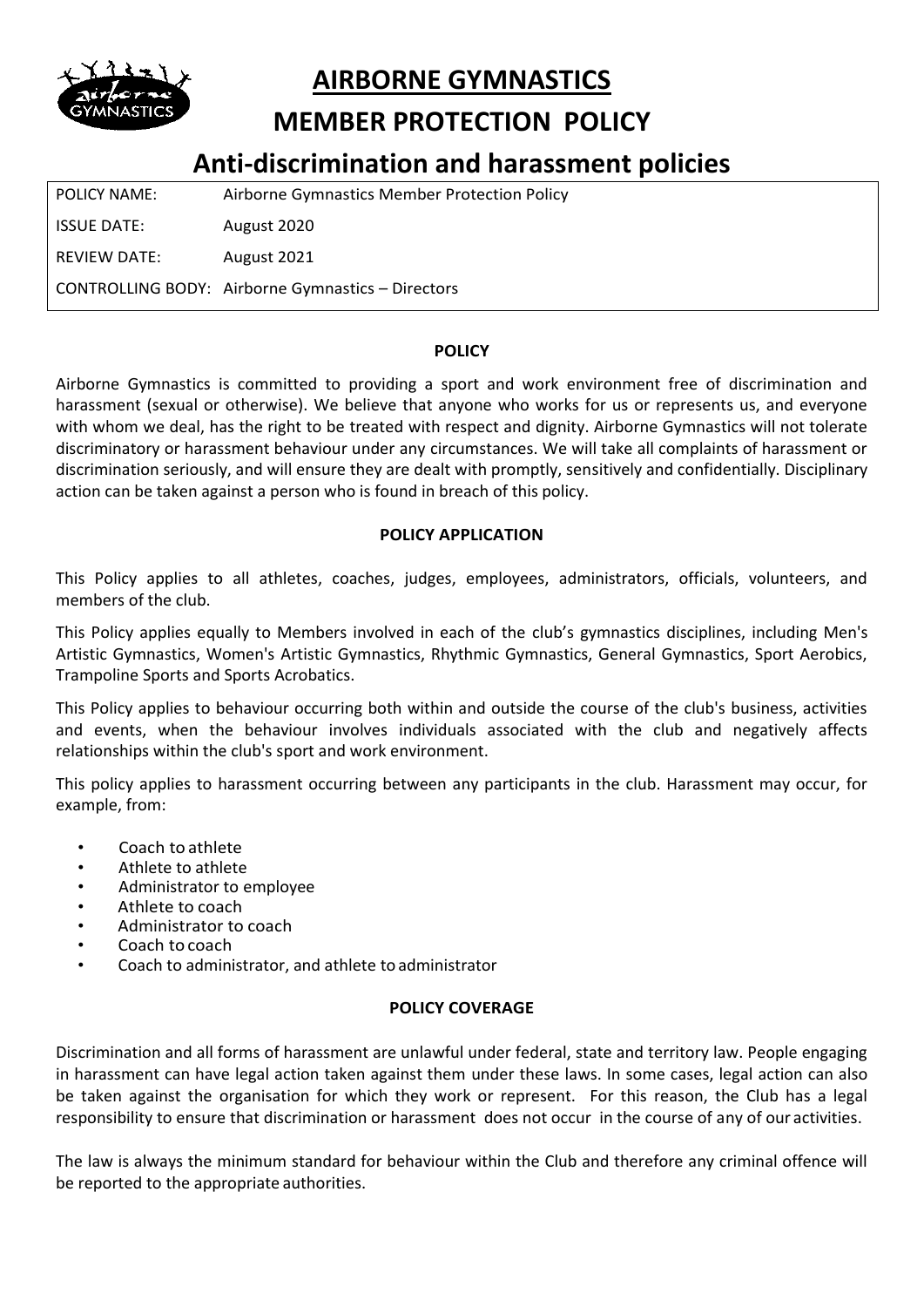

**AIRBORNE GYMNASTICS**

# **MEMBER PROTECTION POLICY**

# **Anti-discrimination and harassment policies**

| <b>POLICY NAME:</b> | Airborne Gymnastics Member Protection Policy             |
|---------------------|----------------------------------------------------------|
| <b>ISSUE DATE:</b>  | August 2020                                              |
| REVIEW DATE:        | August 2021                                              |
|                     | <b>CONTROLLING BODY:</b> Airborne Gymnastics – Directors |

#### **POLICY**

Airborne Gymnastics is committed to providing a sport and work environment free of discrimination and harassment (sexual or otherwise). We believe that anyone who works for us or represents us, and everyone with whom we deal, has the right to be treated with respect and dignity. Airborne Gymnastics will not tolerate discriminatory or harassment behaviour under any circumstances. We will take all complaints of harassment or discrimination seriously, and will ensure they are dealt with promptly, sensitively and confidentially. Disciplinary action can be taken against a person who is found in breach of this policy.

#### **POLICY APPLICATION**

This Policy applies to all athletes, coaches, judges, employees, administrators, officials, volunteers, and members of the club.

This Policy applies equally to Members involved in each of the club's gymnastics disciplines, including Men's Artistic Gymnastics, Women's Artistic Gymnastics, Rhythmic Gymnastics, General Gymnastics, Sport Aerobics, Trampoline Sports and Sports Acrobatics.

This Policy applies to behaviour occurring both within and outside the course of the club's business, activities and events, when the behaviour involves individuals associated with the club and negatively affects relationships within the club's sport and work environment.

This policy applies to harassment occurring between any participants in the club. Harassment may occur, for example, from:

- Coach to athlete
- Athlete to athlete
- Administrator to employee
- Athlete to coach
- Administrator to coach
- Coach to coach
- Coach to administrator, and athlete to administrator

#### **POLICY COVERAGE**

Discrimination and all forms of harassment are unlawful under federal, state and territory law. People engaging in harassment can have legal action taken against them under these laws. In some cases, legal action can also be taken against the organisation for which they work or represent. For this reason, the Club has a legal responsibility to ensure that discrimination or harassment does not occur in the course of any of our activities.

The law is always the minimum standard for behaviour within the Club and therefore any criminal offence will be reported to the appropriate authorities.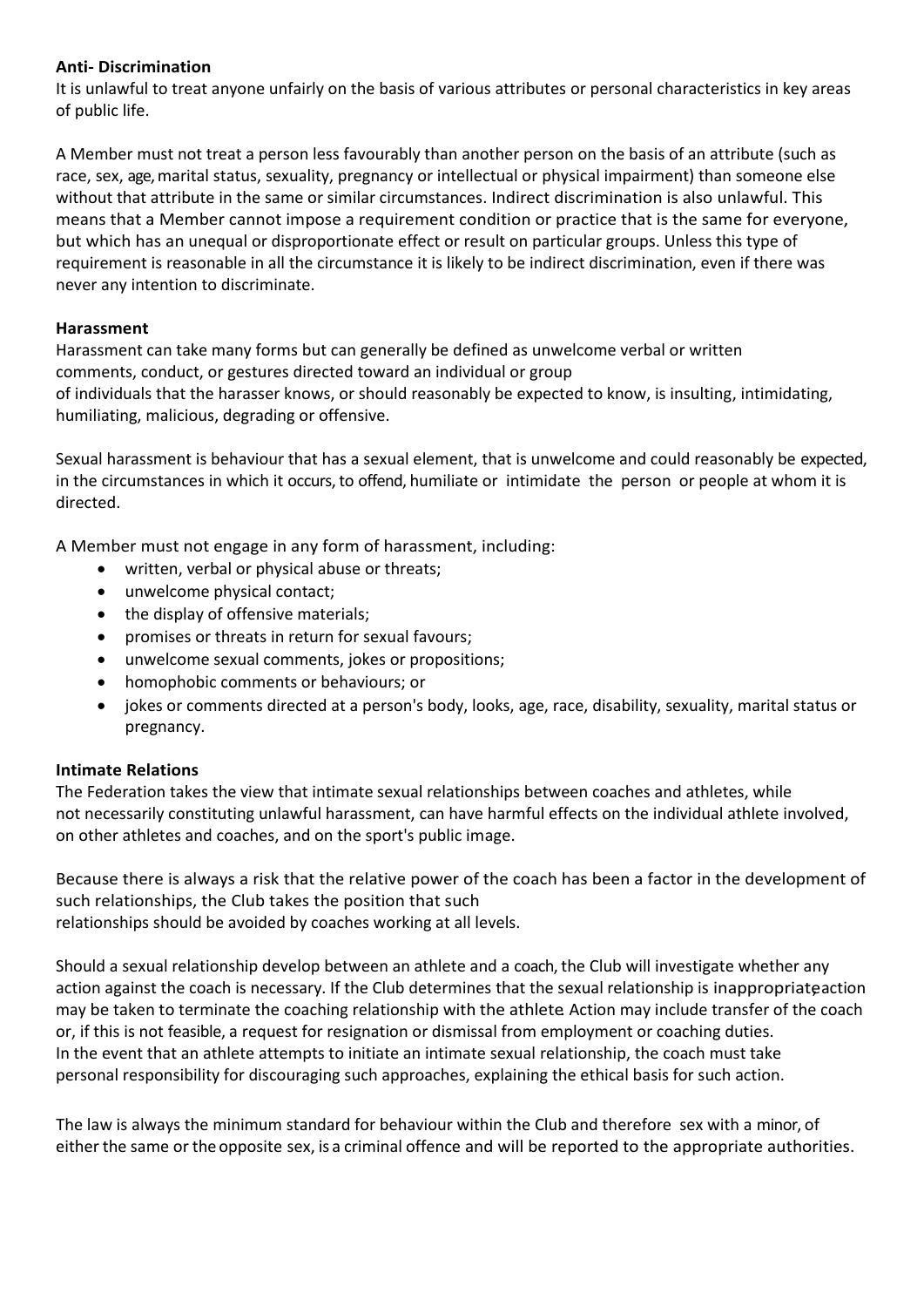#### **Anti- Discrimination**

It is unlawful to treat anyone unfairly on the basis of various attributes or personal characteristics in key areas of public life.

A Member must not treat a person less favourably than another person on the basis of an attribute (such as race, sex, age, marital status, sexuality, pregnancy or intellectual or physical impairment) than someone else without that attribute in the same or similar circumstances. Indirect discrimination is also unlawful. This means that a Member cannot impose a requirement condition or practice that is the same for everyone, but which has an unequal or disproportionate effect or result on particular groups. Unless this type of requirement is reasonable in all the circumstance it is likely to be indirect discrimination, even if there was never any intention to discriminate.

#### **Harassment**

Harassment can take many forms but can generally be defined as unwelcome verbal or written comments, conduct, or gestures directed toward an individual or group of individuals that the harasser knows, or should reasonably be expected to know, is insulting, intimidating, humiliating, malicious, degrading or offensive.

Sexual harassment is behaviour that has a sexual element, that is unwelcome and could reasonably be expected, in the circumstances in which it occurs, to offend, humiliate or intimidate the person or people at whom it is directed.

A Member must not engage in any form of harassment, including:

- written, verbal or physical abuse or threats;
- unwelcome physical contact;
- the display of offensive materials;
- promises or threats in return for sexual favours;
- unwelcome sexual comments, jokes or propositions;
- homophobic comments or behaviours; or
- jokes or comments directed at a person's body, looks, age, race, disability, sexuality, marital status or pregnancy.

#### **Intimate Relations**

The Federation takes the view that intimate sexual relationships between coaches and athletes, while not necessarily constituting unlawful harassment, can have harmful effects on the individual athlete involved, on other athletes and coaches, and on the sport's public image.

Because there is always a risk that the relative power of the coach has been a factor in the development of such relationships, the Club takes the position that such relationships should be avoided by coaches working at all levels.

Should a sexual relationship develop between an athlete and a coach, the Club will investigate whether any action against the coach is necessary. If the Club determines that the sexual relationship is inappropriateaction may be taken to terminate the coaching relationship with the athlete. Action may include transfer of the coach or, if this is not feasible, a request for resignation or dismissal from employment or coaching duties. In the event that an athlete attempts to initiate an intimate sexual relationship, the coach must take personal responsibility for discouraging such approaches, explaining the ethical basis for such action.

The law is always the minimum standard for behaviour within the Club and therefore sex with a minor, of either the same or theopposite sex, is a criminal offence and will be reported to the appropriate authorities.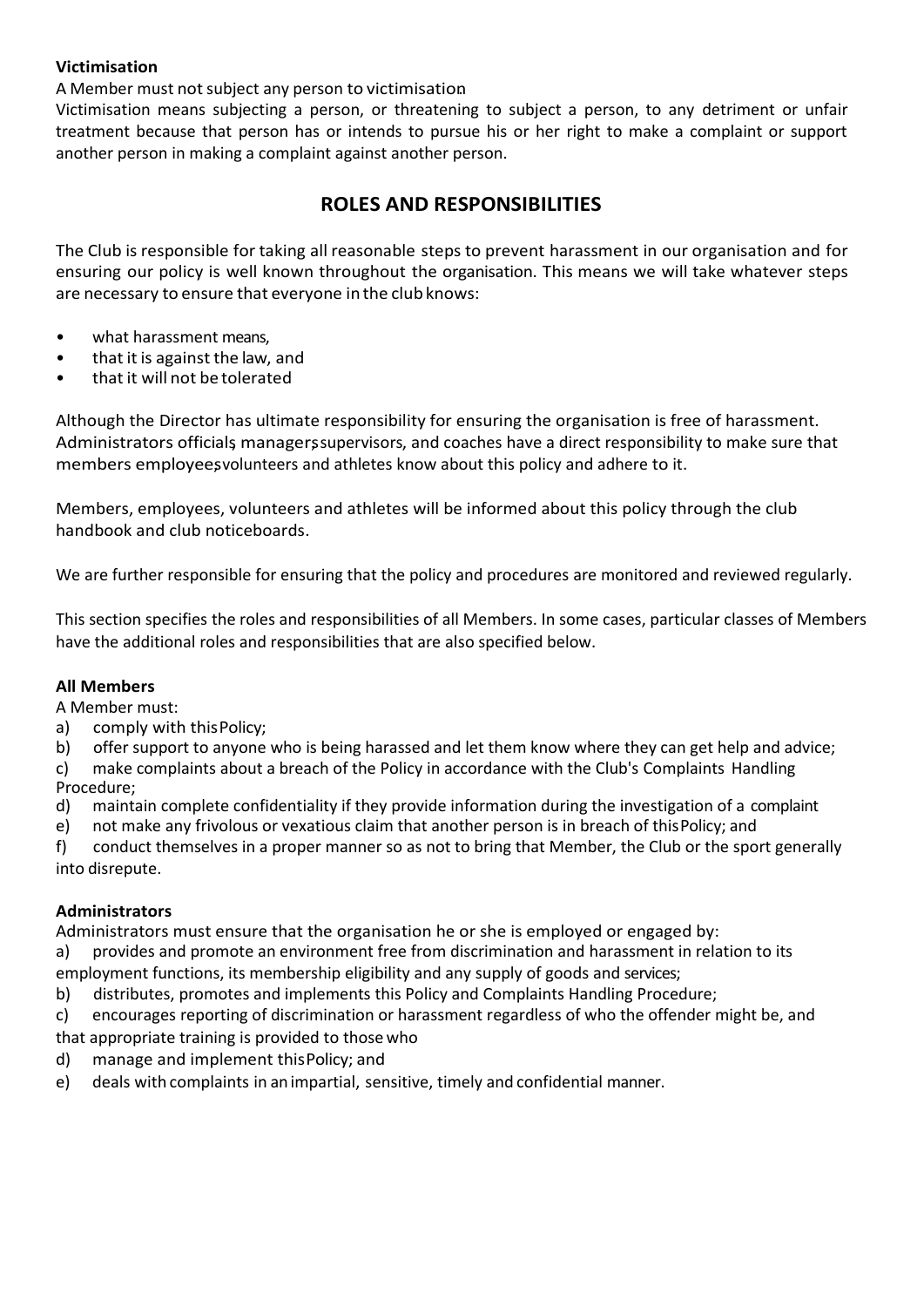#### **Victimisation**

A Member must not subject any person to victimisation

Victimisation means subjecting a person, or threatening to subject a person, to any detriment or unfair treatment because that person has or intends to pursue his or her right to make a complaint or support another person in making a complaint against another person.

## **ROLES AND RESPONSIBILITIES**

The Club is responsible for taking all reasonable steps to prevent harassment in our organisation and for ensuring our policy is well known throughout the organisation. This means we will take whatever steps are necessary to ensure that everyone in the club knows:

- what harassment means,
- that it is against the law, and
- that it will not be tolerated

Although the Director has ultimate responsibility for ensuring the organisation is free of harassment. Administrators officials managers supervisors, and coaches have a direct responsibility to make sure that members employees volunteers and athletes know about this policy and adhere to it.

Members, employees, volunteers and athletes will be informed about this policy through the club handbook and club noticeboards.

We are further responsible for ensuring that the policy and procedures are monitored and reviewed regularly.

This section specifies the roles and responsibilities of all Members. In some cases, particular classes of Members have the additional roles and responsibilities that are also specified below.

#### **All Members**

A Member must:

a) comply with thisPolicy;

b) offer support to anyone who is being harassed and let them know where they can get help and advice;

c) make complaints about a breach of the Policy in accordance with the Club's Complaints Handling Procedure;

- d) maintain complete confidentiality if they provide information during the investigation of a complaint
- e) not make any frivolous or vexatious claim that another person is in breach of thisPolicy; and

f) conduct themselves in a proper manner so as not to bring that Member, the Club or the sport generally into disrepute.

#### **Administrators**

Administrators must ensure that the organisation he or she is employed or engaged by:

a) provides and promote an environment free from discrimination and harassment in relation to its

- employment functions, its membership eligibility and any supply of goods and services;
- b) distributes, promotes and implements this Policy and Complaints Handling Procedure;
- c) encourages reporting of discrimination or harassment regardless of who the offender might be, and that appropriate training is provided to those who
- d) manage and implement thisPolicy; and
- e) deals with complaints in animpartial, sensitive, timely and confidential manner.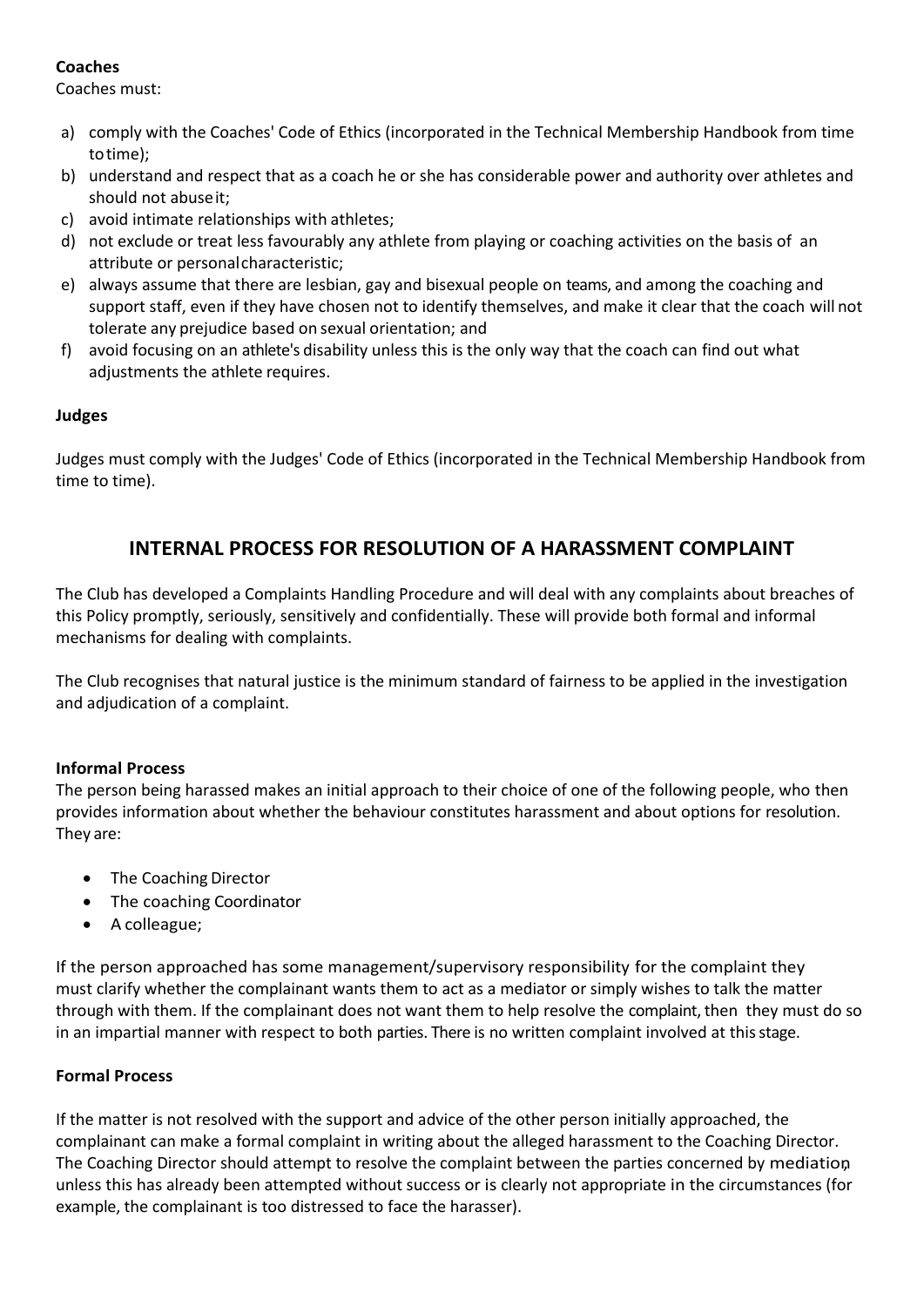### **Coaches**

Coaches must:

- a) comply with the Coaches' Code of Ethics (incorporated in the Technical Membership Handbook from time totime);
- b) understand and respect that as a coach he or she has considerable power and authority over athletes and should not abuseit;
- c) avoid intimate relationships with athletes;
- d) not exclude or treat less favourably any athlete from playing or coaching activities on the basis of an attribute or personalcharacteristic;
- e) always assume that there are lesbian, gay and bisexual people on teams, and among the coaching and support staff, even if they have chosen not to identify themselves, and make it clear that the coach will not tolerate any prejudice based on sexual orientation; and
- f) avoid focusing on an athlete's disability unless this is the only way that the coach can find out what adjustments the athlete requires.

#### **Judges**

Judges must comply with the Judges' Code of Ethics (incorporated in the Technical Membership Handbook from time to time).

# **INTERNAL PROCESS FOR RESOLUTION OF A HARASSMENT COMPLAINT**

The Club has developed a Complaints Handling Procedure and will deal with any complaints about breaches of this Policy promptly, seriously, sensitively and confidentially. These will provide both formal and informal mechanisms for dealing with complaints.

The Club recognises that natural justice is the minimum standard of fairness to be applied in the investigation and adjudication of a complaint.

### **Informal Process**

The person being harassed makes an initial approach to their choice of one of the following people, who then provides information about whether the behaviour constitutes harassment and about options for resolution. They are:

- The Coaching Director
- The coaching Coordinator
- A colleague;

If the person approached has some management/supervisory responsibility for the complaint they must clarify whether the complainant wants them to act as a mediator or simply wishes to talk the matter through with them. If the complainant does not want them to help resolve the complaint, then they must do so in an impartial manner with respect to both parties. There is no written complaint involved at this stage.

#### **Formal Process**

If the matter is not resolved with the support and advice of the other person initially approached, the complainant can make a formal complaint in writing about the alleged harassment to the Coaching Director. The Coaching Director should attempt to resolve the complaint between the parties concerned by mediation, unless this has already been attempted without success or is clearly not appropriate in the circumstances (for example, the complainant is too distressed to face the harasser).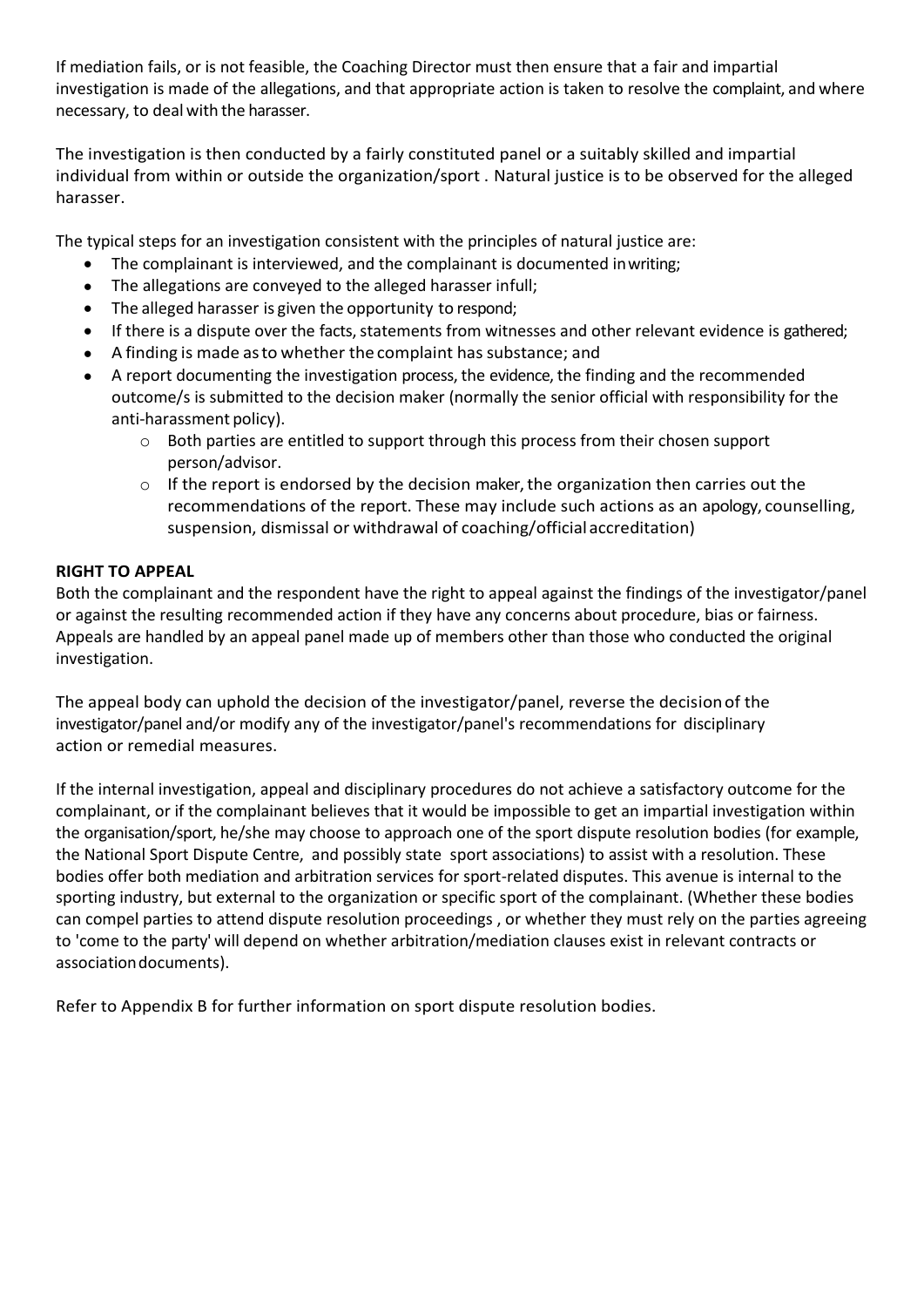If mediation fails, or is not feasible, the Coaching Director must then ensure that a fair and impartial investigation is made of the allegations, and that appropriate action is taken to resolve the complaint, and where necessary, to deal with the harasser.

The investigation is then conducted by a fairly constituted panel or a suitably skilled and impartial individual from within or outside the organization/sport . Natural justice is to be observed for the alleged harasser.

The typical steps for an investigation consistent with the principles of natural justice are:

- The complainant is interviewed, and the complainant is documented inwriting;
- The allegations are conveyed to the alleged harasser infull;
- The alleged harasser is given the opportunity to respond;
- If there is a dispute over the facts, statements from witnesses and other relevant evidence is gathered;
- A finding is made as to whether the complaint has substance; and
- A report documenting the investigation process, the evidence, the finding and the recommended outcome/s is submitted to the decision maker (normally the senior official with responsibility for the anti-harassment policy).
	- o Both parties are entitled to support through this process from their chosen support person/advisor.
	- o If the report is endorsed by the decision maker, the organization then carries out the recommendations of the report. These may include such actions as an apology, counselling, suspension, dismissal or withdrawal of coaching/official accreditation)

#### **RIGHT TO APPEAL**

Both the complainant and the respondent have the right to appeal against the findings of the investigator/panel or against the resulting recommended action if they have any concerns about procedure, bias or fairness. Appeals are handled by an appeal panel made up of members other than those who conducted the original investigation.

The appeal body can uphold the decision of the investigator/panel, reverse the decisionof the investigator/panel and/or modify any of the investigator/panel's recommendations for disciplinary action or remedial measures.

If the internal investigation, appeal and disciplinary procedures do not achieve a satisfactory outcome for the complainant, or if the complainant believes that it would be impossible to get an impartial investigation within the organisation/sport, he/she may choose to approach one of the sport dispute resolution bodies (for example, the National Sport Dispute Centre, and possibly state sport associations) to assist with a resolution. These bodies offer both mediation and arbitration services for sport-related disputes. This avenue is internal to the sporting industry, but external to the organization or specific sport of the complainant. (Whether these bodies can compel parties to attend dispute resolution proceedings , or whether they must rely on the parties agreeing to 'come to the party' will depend on whether arbitration/mediation clauses exist in relevant contracts or associationdocuments).

Refer to Appendix B for further information on sport dispute resolution bodies.